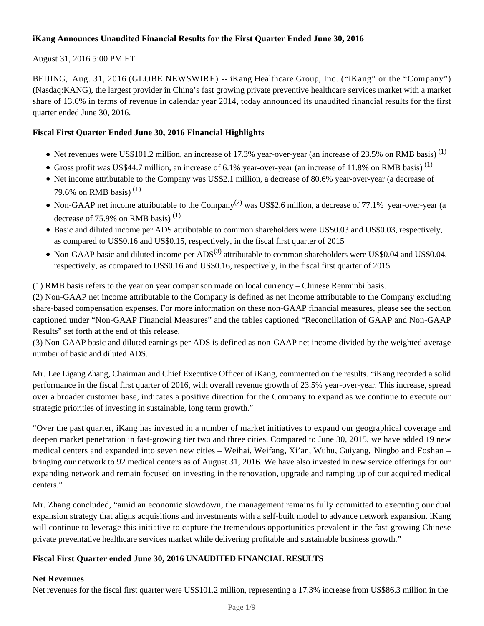#### **iKang Announces Unaudited Financial Results for the First Quarter Ended June 30, 2016**

#### August 31, 2016 5:00 PM ET

BEIJING, Aug. 31, 2016 (GLOBE NEWSWIRE) -- iKang Healthcare Group, Inc. ("iKang" or the "Company") (Nasdaq:KANG), the largest provider in China's fast growing private preventive healthcare services market with a market share of 13.6% in terms of revenue in calendar year 2014, today announced its unaudited financial results for the first quarter ended June 30, 2016.

#### **Fiscal First Quarter Ended June 30, 2016 Financial Highlights**

- $\bullet$  Net revenues were US\$101.2 million, an increase of 17.3% year-over-year (an increase of 23.5% on RMB basis)<sup>(1)</sup>
- Gross profit was US\$44.7 million, an increase of 6.1% year-over-year (an increase of 11.8% on RMB basis)<sup>(1)</sup>
- Net income attributable to the Company was US\$2.1 million, a decrease of 80.6% year-over-year (a decrease of 79.6% on RMB basis)<sup>(1)</sup>
- Non-GAAP net income attributable to the Company<sup>(2)</sup> was US\$2.6 million, a decrease of 77.1% year-over-year (a decrease of 75.9% on RMB basis)<sup>(1)</sup>
- Basic and diluted income per ADS attributable to common shareholders were US\$0.03 and US\$0.03, respectively, as compared to US\$0.16 and US\$0.15, respectively, in the fiscal first quarter of 2015
- Non-GAAP basic and diluted income per  $ADS^{(3)}$  attributable to common shareholders were US\$0.04 and US\$0.04. respectively, as compared to US\$0.16 and US\$0.16, respectively, in the fiscal first quarter of 2015

(1) RMB basis refers to the year on year comparison made on local currency – Chinese Renminbi basis.

(2) Non-GAAP net income attributable to the Company is defined as net income attributable to the Company excluding share-based compensation expenses. For more information on these non-GAAP financial measures, please see the section captioned under "Non-GAAP Financial Measures" and the tables captioned "Reconciliation of GAAP and Non-GAAP Results" set forth at the end of this release.

(3) Non-GAAP basic and diluted earnings per ADS is defined as non-GAAP net income divided by the weighted average number of basic and diluted ADS.

Mr. Lee Ligang Zhang, Chairman and Chief Executive Officer of iKang, commented on the results. "iKang recorded a solid performance in the fiscal first quarter of 2016, with overall revenue growth of 23.5% year-over-year. This increase, spread over a broader customer base, indicates a positive direction for the Company to expand as we continue to execute our strategic priorities of investing in sustainable, long term growth."

"Over the past quarter, iKang has invested in a number of market initiatives to expand our geographical coverage and deepen market penetration in fast-growing tier two and three cities. Compared to June 30, 2015, we have added 19 new medical centers and expanded into seven new cities – Weihai, Weifang, Xi'an, Wuhu, Guiyang, Ningbo and Foshan – bringing our network to 92 medical centers as of August 31, 2016. We have also invested in new service offerings for our expanding network and remain focused on investing in the renovation, upgrade and ramping up of our acquired medical centers."

Mr. Zhang concluded, "amid an economic slowdown, the management remains fully committed to executing our dual expansion strategy that aligns acquisitions and investments with a self-built model to advance network expansion. iKang will continue to leverage this initiative to capture the tremendous opportunities prevalent in the fast-growing Chinese private preventative healthcare services market while delivering profitable and sustainable business growth."

#### **Fiscal First Quarter ended June 30, 2016 UNAUDITED FINANCIAL RESULTS**

#### **Net Revenues**

Net revenues for the fiscal first quarter were US\$101.2 million, representing a 17.3% increase from US\$86.3 million in the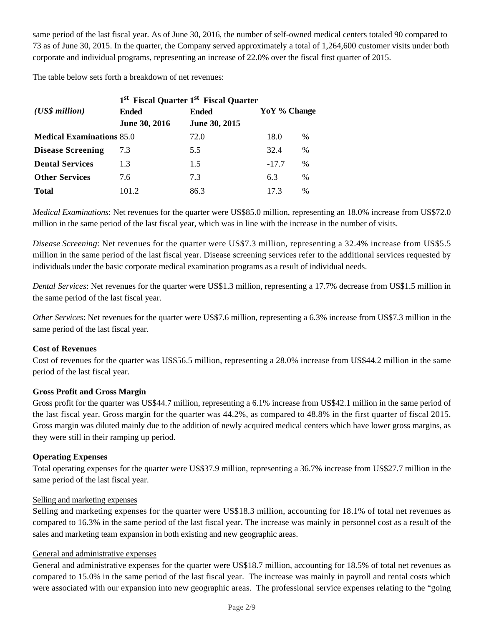same period of the last fiscal year*.* As of June 30, 2016, the number of self-owned medical centers totaled 90 compared to 73 as of June 30, 2015. In the quarter, the Company served approximately a total of 1,264,600 customer visits under both corporate and individual programs, representing an increase of 22.0% over the fiscal first quarter of 2015.

The table below sets forth a breakdown of net revenues:

|                                  | 1 <sup>st</sup> Fiscal Quarter 1 <sup>st</sup> Fiscal Quarter |               |              |               |
|----------------------------------|---------------------------------------------------------------|---------------|--------------|---------------|
| $(US\$ s million                 | <b>Ended</b>                                                  | <b>Ended</b>  | YoY % Change |               |
|                                  | June 30, 2016                                                 | June 30, 2015 |              |               |
| <b>Medical Examinations 85.0</b> |                                                               | 72.0          | 18.0         | $\%$          |
| <b>Disease Screening</b>         | 7.3                                                           | 5.5           | 32.4         | $\%$          |
| <b>Dental Services</b>           | 1.3                                                           | 1.5           | $-17.7$      | %             |
| <b>Other Services</b>            | 7.6                                                           | 7.3           | 6.3          | $\%$          |
| <b>Total</b>                     | 101.2                                                         | 86.3          | 17.3         | $\frac{0}{0}$ |

*Medical Examinations*: Net revenues for the quarter were US\$85.0 million, representing an 18.0% increase from US\$72.0 million in the same period of the last fiscal year, which was in line with the increase in the number of visits.

*Disease Screening*: Net revenues for the quarter were US\$7.3 million, representing a 32.4% increase from US\$5.5 million in the same period of the last fiscal year. Disease screening services refer to the additional services requested by individuals under the basic corporate medical examination programs as a result of individual needs.

*Dental Services*: Net revenues for the quarter were US\$1.3 million, representing a 17.7% decrease from US\$1.5 million in the same period of the last fiscal year.

*Other Services*: Net revenues for the quarter were US\$7.6 million, representing a 6.3% increase from US\$7.3 million in the same period of the last fiscal year.

#### **Cost of Revenues**

Cost of revenues for the quarter was US\$56.5 million, representing a 28.0% increase from US\$44.2 million in the same period of the last fiscal year.

#### **Gross Profit and Gross Margin**

Gross profit for the quarter was US\$44.7 million, representing a 6.1% increase from US\$42.1 million in the same period of the last fiscal year. Gross margin for the quarter was 44.2%, as compared to 48.8% in the first quarter of fiscal 2015. Gross margin was diluted mainly due to the addition of newly acquired medical centers which have lower gross margins, as they were still in their ramping up period.

#### **Operating Expenses**

Total operating expenses for the quarter were US\$37.9 million, representing a 36.7% increase from US\$27.7 million in the same period of the last fiscal year.

#### Selling and marketing expenses

Selling and marketing expenses for the quarter were US\$18.3 million, accounting for 18.1% of total net revenues as compared to 16.3% in the same period of the last fiscal year. The increase was mainly in personnel cost as a result of the sales and marketing team expansion in both existing and new geographic areas.

#### General and administrative expenses

General and administrative expenses for the quarter were US\$18.7 million, accounting for 18.5% of total net revenues as compared to 15.0% in the same period of the last fiscal year. The increase was mainly in payroll and rental costs which were associated with our expansion into new geographic areas. The professional service expenses relating to the "going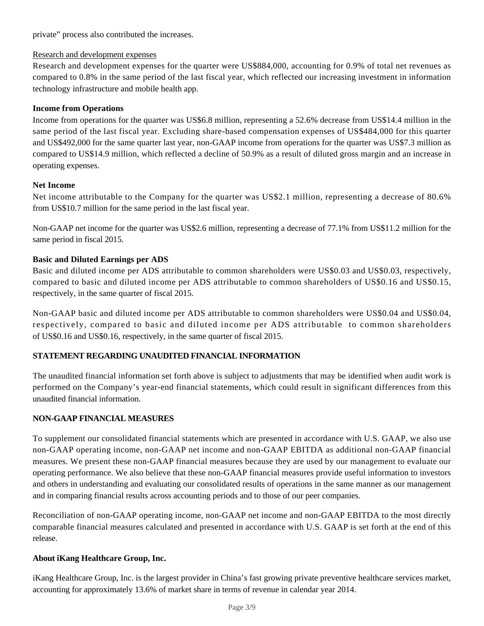private" process also contributed the increases.

#### Research and development expenses

Research and development expenses for the quarter were US\$884,000, accounting for 0.9% of total net revenues as compared to 0.8% in the same period of the last fiscal year, which reflected our increasing investment in information technology infrastructure and mobile health app.

#### **Income from Operations**

Income from operations for the quarter was US\$6.8 million, representing a 52.6% decrease from US\$14.4 million in the same period of the last fiscal year. Excluding share-based compensation expenses of US\$484,000 for this quarter and US\$492,000 for the same quarter last year, non-GAAP income from operations for the quarter was US\$7.3 million as compared to US\$14.9 million, which reflected a decline of 50.9% as a result of diluted gross margin and an increase in operating expenses.

#### **Net Income**

Net income attributable to the Company for the quarter was US\$2.1 million, representing a decrease of 80.6% from US\$10.7 million for the same period in the last fiscal year.

Non-GAAP net income for the quarter was US\$2.6 million, representing a decrease of 77.1% from US\$11.2 million for the same period in fiscal 2015.

#### **Basic and Diluted Earnings per ADS**

Basic and diluted income per ADS attributable to common shareholders were US\$0.03 and US\$0.03, respectively, compared to basic and diluted income per ADS attributable to common shareholders of US\$0.16 and US\$0.15, respectively, in the same quarter of fiscal 2015.

Non-GAAP basic and diluted income per ADS attributable to common shareholders were US\$0.04 and US\$0.04, respectively, compared to basic and diluted income per ADS attributable to common shareholders of US\$0.16 and US\$0.16, respectively, in the same quarter of fiscal 2015.

#### **STATEMENT REGARDING UNAUDITED FINANCIAL INFORMATION**

The unaudited financial information set forth above is subject to adjustments that may be identified when audit work is performed on the Company's year-end financial statements, which could result in significant differences from this unaudited financial information.

#### **NON-GAAP FINANCIAL MEASURES**

To supplement our consolidated financial statements which are presented in accordance with U.S. GAAP, we also use non-GAAP operating income, non-GAAP net income and non-GAAP EBITDA as additional non-GAAP financial measures. We present these non-GAAP financial measures because they are used by our management to evaluate our operating performance. We also believe that these non-GAAP financial measures provide useful information to investors and others in understanding and evaluating our consolidated results of operations in the same manner as our management and in comparing financial results across accounting periods and to those of our peer companies.

Reconciliation of non-GAAP operating income, non-GAAP net income and non-GAAP EBITDA to the most directly comparable financial measures calculated and presented in accordance with U.S. GAAP is set forth at the end of this release.

#### **About iKang Healthcare Group, Inc.**

iKang Healthcare Group, Inc. is the largest provider in China's fast growing private preventive healthcare services market, accounting for approximately 13.6% of market share in terms of revenue in calendar year 2014.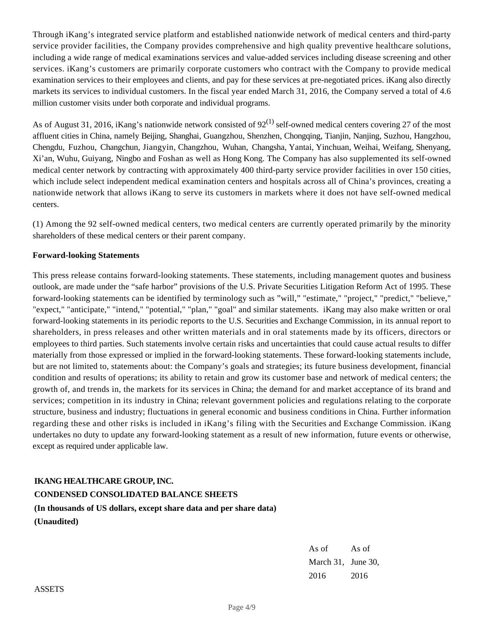Through iKang's integrated service platform and established nationwide network of medical centers and third-party service provider facilities, the Company provides comprehensive and high quality preventive healthcare solutions, including a wide range of medical examinations services and value-added services including disease screening and other services. iKang's customers are primarily corporate customers who contract with the Company to provide medical examination services to their employees and clients, and pay for these services at pre-negotiated prices. iKang also directly markets its services to individual customers. In the fiscal year ended March 31, 2016, the Company served a total of 4.6 million customer visits under both corporate and individual programs.

As of August 31, 2016, iKang's nationwide network consisted of  $92^{(1)}$  self-owned medical centers covering 27 of the most affluent cities in China, namely Beijing, Shanghai, Guangzhou, Shenzhen, Chongqing, Tianjin, Nanjing, Suzhou, Hangzhou, Chengdu, Fuzhou, Changchun, Jiangyin, Changzhou, Wuhan, Changsha, Yantai, Yinchuan, Weihai, Weifang, Shenyang, Xi'an, Wuhu, Guiyang, Ningbo and Foshan as well as Hong Kong. The Company has also supplemented its self-owned medical center network by contracting with approximately 400 third-party service provider facilities in over 150 cities, which include select independent medical examination centers and hospitals across all of China's provinces, creating a nationwide network that allows iKang to serve its customers in markets where it does not have self-owned medical centers.

(1) Among the 92 self-owned medical centers, two medical centers are currently operated primarily by the minority shareholders of these medical centers or their parent company.

#### **Forward-looking Statements**

This press release contains forward-looking statements. These statements, including management quotes and business outlook, are made under the "safe harbor" provisions of the U.S. Private Securities Litigation Reform Act of 1995. These forward-looking statements can be identified by terminology such as "will," "estimate," "project," "predict," "believe," "expect," "anticipate," "intend," "potential," "plan," "goal" and similar statements. iKang may also make written or oral forward-looking statements in its periodic reports to the U.S. Securities and Exchange Commission, in its annual report to shareholders, in press releases and other written materials and in oral statements made by its officers, directors or employees to third parties. Such statements involve certain risks and uncertainties that could cause actual results to differ materially from those expressed or implied in the forward-looking statements. These forward-looking statements include, but are not limited to, statements about: the Company's goals and strategies; its future business development, financial condition and results of operations; its ability to retain and grow its customer base and network of medical centers; the growth of, and trends in, the markets for its services in China; the demand for and market acceptance of its brand and services; competition in its industry in China; relevant government policies and regulations relating to the corporate structure, business and industry; fluctuations in general economic and business conditions in China. Further information regarding these and other risks is included in iKang's filing with the Securities and Exchange Commission. iKang undertakes no duty to update any forward-looking statement as a result of new information, future events or otherwise, except as required under applicable law.

### **IKANG HEALTHCARE GROUP, INC.**

## **CONDENSED CONSOLIDATED BALANCE SHEETS**

**(In thousands of US dollars, except share data and per share data) (Unaudited)**

> As of As of March 31, June 30, 2016 2016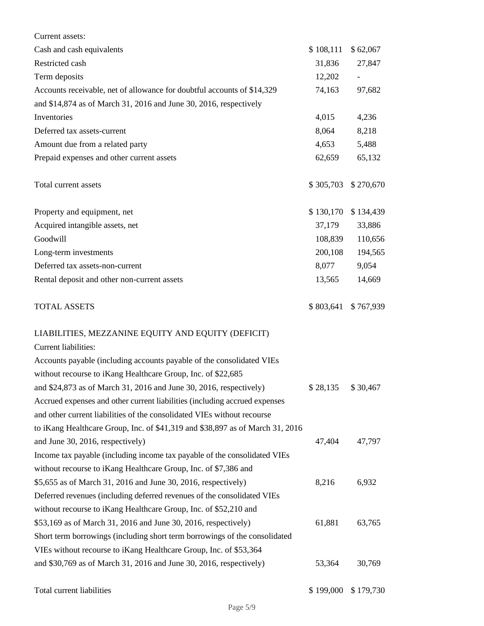| Current assets:                                                               |           |           |
|-------------------------------------------------------------------------------|-----------|-----------|
| Cash and cash equivalents                                                     | \$108,111 | \$62,067  |
| Restricted cash                                                               | 31,836    | 27,847    |
| Term deposits                                                                 | 12,202    |           |
| Accounts receivable, net of allowance for doubtful accounts of \$14,329       | 74,163    | 97,682    |
| and \$14,874 as of March 31, 2016 and June 30, 2016, respectively             |           |           |
| Inventories                                                                   | 4,015     | 4,236     |
| Deferred tax assets-current                                                   | 8,064     | 8,218     |
| Amount due from a related party                                               | 4,653     | 5,488     |
| Prepaid expenses and other current assets                                     | 62,659    | 65,132    |
| Total current assets                                                          | \$305,703 | \$270,670 |
| Property and equipment, net                                                   | \$130,170 | \$134,439 |
| Acquired intangible assets, net                                               | 37,179    | 33,886    |
| Goodwill                                                                      | 108,839   | 110,656   |
| Long-term investments                                                         | 200,108   | 194,565   |
| Deferred tax assets-non-current                                               | 8,077     | 9,054     |
| Rental deposit and other non-current assets                                   | 13,565    | 14,669    |
| <b>TOTAL ASSETS</b>                                                           | \$803,641 | \$767,939 |
| LIABILITIES, MEZZANINE EQUITY AND EQUITY (DEFICIT)                            |           |           |
| Current liabilities:                                                          |           |           |
| Accounts payable (including accounts payable of the consolidated VIEs         |           |           |
| without recourse to iKang Healthcare Group, Inc. of \$22,685                  |           |           |
| and \$24,873 as of March 31, 2016 and June 30, 2016, respectively)            | \$28,135  | \$30,467  |
| Accrued expenses and other current liabilities (including accrued expenses    |           |           |
| and other current liabilities of the consolidated VIEs without recourse       |           |           |
| to iKang Healthcare Group, Inc. of \$41,319 and \$38,897 as of March 31, 2016 |           |           |
| and June 30, 2016, respectively)                                              | 47,404    | 47,797    |
| Income tax payable (including income tax payable of the consolidated VIEs     |           |           |
| without recourse to iKang Healthcare Group, Inc. of \$7,386 and               |           |           |
| \$5,655 as of March 31, 2016 and June 30, 2016, respectively)                 | 8,216     | 6,932     |
| Deferred revenues (including deferred revenues of the consolidated VIEs       |           |           |
| without recourse to iKang Healthcare Group, Inc. of \$52,210 and              |           |           |
| \$53,169 as of March 31, 2016 and June 30, 2016, respectively)                | 61,881    | 63,765    |
| Short term borrowings (including short term borrowings of the consolidated    |           |           |
| VIEs without recourse to iKang Healthcare Group, Inc. of \$53,364             |           |           |
| and \$30,769 as of March 31, 2016 and June 30, 2016, respectively)            | 53,364    | 30,769    |
|                                                                               |           |           |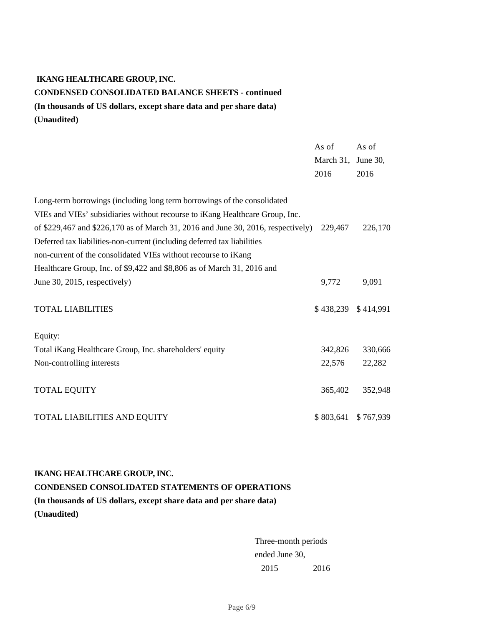## **IKANG HEALTHCARE GROUP, INC. CONDENSED CONSOLIDATED BALANCE SHEETS - continued (In thousands of US dollars, except share data and per share data) (Unaudited)**

|                                                                                  | As of               | As of     |
|----------------------------------------------------------------------------------|---------------------|-----------|
|                                                                                  | March 31, June 30,  |           |
|                                                                                  | 2016                | 2016      |
| Long-term borrowings (including long term borrowings of the consolidated         |                     |           |
| VIEs and VIEs' subsidiaries without recourse to iKang Healthcare Group, Inc.     |                     |           |
| of \$229,467 and \$226,170 as of March 31, 2016 and June 30, 2016, respectively) | 229,467             | 226,170   |
| Deferred tax liabilities-non-current (including deferred tax liabilities         |                     |           |
| non-current of the consolidated VIEs without recourse to iKang                   |                     |           |
| Healthcare Group, Inc. of \$9,422 and \$8,806 as of March 31, 2016 and           |                     |           |
| June 30, 2015, respectively)                                                     | 9,772               | 9,091     |
| <b>TOTAL LIABILITIES</b>                                                         | \$438,239 \$414,991 |           |
| Equity:                                                                          |                     |           |
| Total iKang Healthcare Group, Inc. shareholders' equity                          | 342,826             | 330,666   |
| Non-controlling interests                                                        | 22,576              | 22,282    |
| <b>TOTAL EQUITY</b>                                                              | 365,402             | 352,948   |
| TOTAL LIABILITIES AND EQUITY                                                     | \$803,641           | \$767,939 |

**IKANG HEALTHCARE GROUP, INC. CONDENSED CONSOLIDATED STATEMENTS OF OPERATIONS (In thousands of US dollars, except share data and per share data) (Unaudited)**

> Three-month periods ended June 30, 2015 2016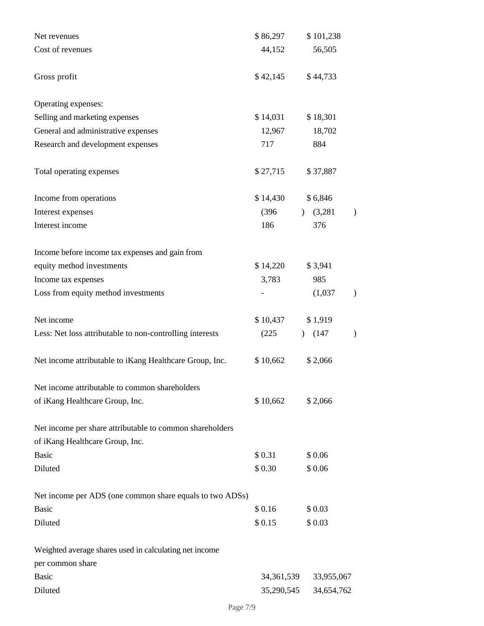| Net revenues                                                                                | \$86,297   | \$101,238              |   |
|---------------------------------------------------------------------------------------------|------------|------------------------|---|
| Cost of revenues                                                                            | 44,152     | 56,505                 |   |
| Gross profit                                                                                | \$42,145   | \$44,733               |   |
| Operating expenses:                                                                         |            |                        |   |
| Selling and marketing expenses                                                              | \$14,031   | \$18,301               |   |
| General and administrative expenses                                                         | 12,967     | 18,702                 |   |
| Research and development expenses                                                           | 717        | 884                    |   |
| Total operating expenses                                                                    | \$27,715   | \$37,887               |   |
| Income from operations                                                                      | \$14,430   | \$6,846                |   |
| Interest expenses                                                                           | (396)      | $)$ (3,281)            | ) |
| Interest income                                                                             | 186        | 376                    |   |
| Income before income tax expenses and gain from                                             |            |                        |   |
| equity method investments                                                                   | \$14,220   | \$3,941                |   |
| Income tax expenses                                                                         | 3,783      | 985                    |   |
| Loss from equity method investments                                                         |            | (1,037)                | ) |
| Net income                                                                                  | \$10,437   | \$1,919                |   |
| Less: Net loss attributable to non-controlling interests                                    | (225)      | (147)<br>$\mathcal{L}$ | ) |
| Net income attributable to iKang Healthcare Group, Inc.                                     | \$10,662   | \$2,066                |   |
| Net income attributable to common shareholders                                              |            |                        |   |
| of iKang Healthcare Group, Inc.                                                             | \$10,662   | \$2,066                |   |
| Net income per share attributable to common shareholders<br>of iKang Healthcare Group, Inc. |            |                        |   |
| <b>Basic</b>                                                                                | \$0.31     | \$0.06                 |   |
| Diluted                                                                                     | \$0.30     | \$0.06                 |   |
| Net income per ADS (one common share equals to two ADSs)                                    |            |                        |   |
| <b>Basic</b>                                                                                | \$0.16     | \$0.03                 |   |
| Diluted                                                                                     | \$0.15     | \$0.03                 |   |
| Weighted average shares used in calculating net income                                      |            |                        |   |
| per common share                                                                            |            |                        |   |
| <b>Basic</b>                                                                                | 34,361,539 | 33,955,067             |   |
| Diluted                                                                                     | 35,290,545 | 34,654,762             |   |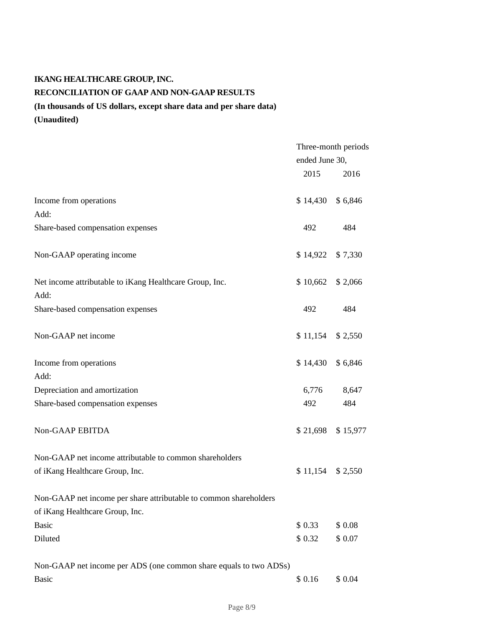# **IKANG HEALTHCARE GROUP, INC. RECONCILIATION OF GAAP AND NON-GAAP RESULTS (In thousands of US dollars, except share data and per share data)**

**(Unaudited)**

|                                                                   | Three-month periods |          |
|-------------------------------------------------------------------|---------------------|----------|
|                                                                   | ended June 30,      |          |
|                                                                   | 2015                | 2016     |
| Income from operations                                            | \$14,430            | \$6,846  |
| Add:                                                              |                     |          |
| Share-based compensation expenses                                 | 492                 | 484      |
| Non-GAAP operating income                                         | \$14,922            | \$7,330  |
| Net income attributable to iKang Healthcare Group, Inc.           | \$10,662            | \$ 2,066 |
| Add:                                                              |                     |          |
| Share-based compensation expenses                                 | 492                 | 484      |
| Non-GAAP net income                                               | \$11,154            | \$2,550  |
| Income from operations                                            | \$14,430            | \$6,846  |
| Add:                                                              |                     |          |
| Depreciation and amortization                                     | 6,776               | 8,647    |
| Share-based compensation expenses                                 | 492                 | 484      |
| Non-GAAP EBITDA                                                   | \$21,698            | \$15,977 |
| Non-GAAP net income attributable to common shareholders           |                     |          |
| of iKang Healthcare Group, Inc.                                   | \$11,154            | \$ 2,550 |
| Non-GAAP net income per share attributable to common shareholders |                     |          |
| of iKang Healthcare Group, Inc.                                   |                     |          |
| <b>Basic</b>                                                      | \$0.33              | \$0.08   |
| Diluted                                                           | \$0.32              | \$ 0.07  |
| Non-GAAP net income per ADS (one common share equals to two ADSs) |                     |          |
| <b>Basic</b>                                                      | \$0.16              | \$ 0.04  |